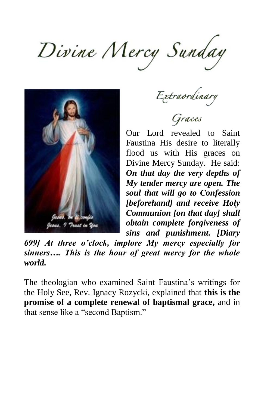$Divine$  *Mercy* Sunday



Extraordinary

Graces

Our Lord revealed to Saint Faustina His desire to literally flood us with His graces on Divine Mercy Sunday. He said: *On that day the very depths of My tender mercy are open. The soul that will go to Confession [beforehand] and receive Holy Communion [on that day] shall obtain complete forgiveness of sins and punishment. [Diary* 

*699] At three o'clock, implore My mercy especially for sinners…. This is the hour of great mercy for the whole world.*

The theologian who examined Saint Faustina's writings for the Holy See, Rev. Ignacy Rozycki, explained that **this is the promise of a complete renewal of baptismal grace,** and in that sense like a "second Baptism."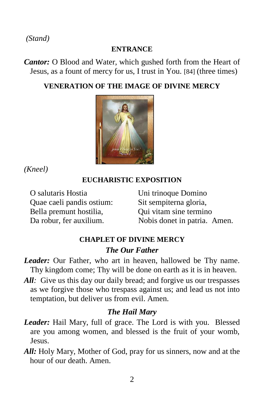*(Stand)* 

#### **ENTRANCE**

*Cantor:* O Blood and Water, which gushed forth from the Heart of Jesus, as a fount of mercy for us, I trust in You. [84] (three times)

## **VENERATION OF THE IMAGE OF DIVINE MERCY**



*(Kneel)*

## **EUCHARISTIC EXPOSITION**

O salutaris Hostia Quae caeli pandis ostium: Bella premunt hostilia, Da robur, fer auxilium.

Uni trinoque Domino Sit sempiterna gloria, Qui vitam sine termino Nobis donet in patria. Amen.

# **CHAPLET OF DIVINE MERCY** *The Our Father*

- *Leader:* Our Father, who art in heaven, hallowed be Thy name. Thy kingdom come; Thy will be done on earth as it is in heaven.
- All*:* Give us this day our daily bread; and forgive us our trespasses as we forgive those who trespass against us; and lead us not into temptation, but deliver us from evil. Amen.

# *The Hail Mary*

- *Leader:* Hail Mary, full of grace. The Lord is with you. Blessed are you among women, and blessed is the fruit of your womb, Jesus.
- *All:* Holy Mary, Mother of God, pray for us sinners, now and at the hour of our death. Amen.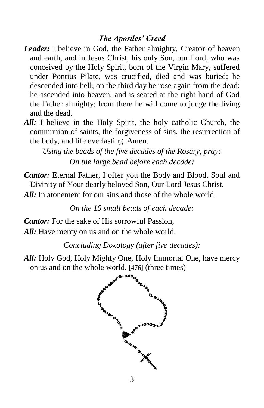### *The Apostles' Creed*

- *Leader:* I believe in God, the Father almighty, Creator of heaven and earth, and in Jesus Christ, his only Son, our Lord, who was conceived by the Holy Spirit, born of the Virgin Mary, suffered under Pontius Pilate, was crucified, died and was buried; he descended into hell; on the third day he rose again from the dead; he ascended into heaven, and is seated at the right hand of God the Father almighty; from there he will come to judge the living and the dead.
- *All:* I believe in the Holy Spirit, the holy catholic Church, the communion of saints, the forgiveness of sins, the resurrection of the body, and life everlasting. Amen.

*Using the beads of the five decades of the Rosary, pray: On the large bead before each decade:*

*Cantor:* Eternal Father, I offer you the Body and Blood, Soul and Divinity of Your dearly beloved Son, Our Lord Jesus Christ.

*All:* In atonement for our sins and those of the whole world.

*On the 10 small beads of each decade:*

*Cantor:* For the sake of His sorrowful Passion, *All:* Have mercy on us and on the whole world.

*Concluding Doxology (after five decades):*

*All:* Holy God, Holy Mighty One, Holy Immortal One, have mercy on us and on the whole world. [476] (three times)

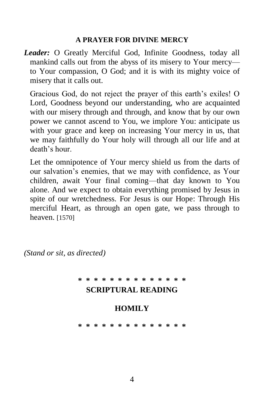#### **A PRAYER FOR DIVINE MERCY**

*Leader:* O Greatly Merciful God, Infinite Goodness, today all mankind calls out from the abyss of its misery to Your mercy to Your compassion, O God; and it is with its mighty voice of misery that it calls out.

Gracious God, do not reject the prayer of this earth's exiles! O Lord, Goodness beyond our understanding, who are acquainted with our misery through and through, and know that by our own power we cannot ascend to You, we implore You: anticipate us with your grace and keep on increasing Your mercy in us, that we may faithfully do Your holy will through all our life and at death's hour.

Let the omnipotence of Your mercy shield us from the darts of our salvation's enemies, that we may with confidence, as Your children, await Your final coming—that day known to You alone. And we expect to obtain everything promised by Jesus in spite of our wretchedness. For Jesus is our Hope: Through His merciful Heart, as through an open gate, we pass through to heaven. [1570]

*(Stand or sit, as directed)*

# **\* \* \* \* \* \* \* \* \* \* \* \* \* \* SCRIPTURAL READING**

## **HOMILY**

**\* \* \* \* \* \* \* \* \* \* \* \* \* \***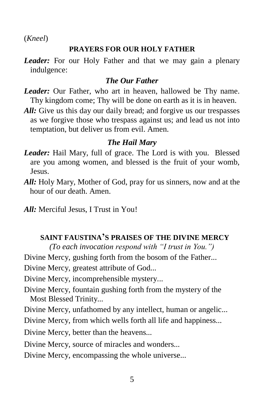(*Kneel*)

## **PRAYERS FOR OUR HOLY FATHER**

*Leader:* For our Holy Father and that we may gain a plenary indulgence:

## *The Our Father*

- *Leader:* Our Father, who art in heaven, hallowed be Thy name. Thy kingdom come; Thy will be done on earth as it is in heaven.
- All: Give us this day our daily bread; and forgive us our trespasses as we forgive those who trespass against us; and lead us not into temptation, but deliver us from evil. Amen.

# *The Hail Mary*

- *Leader:* Hail Mary, full of grace. The Lord is with you. Blessed are you among women, and blessed is the fruit of your womb, Jesus.
- *All:* Holy Mary, Mother of God, pray for us sinners, now and at the hour of our death. Amen.
- *All:* Merciful Jesus, I Trust in You!

# **SAINT FAUSTINA'S PRAISES OF THE DIVINE MERCY**

*(To each invocation respond with "I trust in You.")* Divine Mercy, gushing forth from the bosom of the Father*...*

Divine Mercy, greatest attribute of God*...*

Divine Mercy, incomprehensible mystery*...*

- Divine Mercy, fountain gushing forth from the mystery of the Most Blessed Trinity*...*
- Divine Mercy, unfathomed by any intellect, human or angelic*...*

Divine Mercy, from which wells forth all life and happiness*...*

Divine Mercy, better than the heavens*...*

- Divine Mercy, source of miracles and wonders*...*
- Divine Mercy, encompassing the whole universe*...*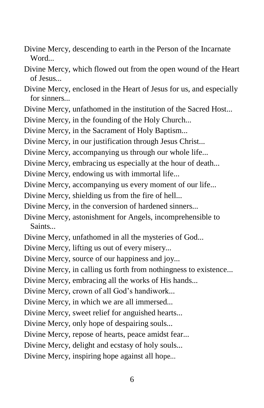- Divine Mercy, descending to earth in the Person of the Incarnate Word*...*
- Divine Mercy, which flowed out from the open wound of the Heart of Jesus*...*
- Divine Mercy, enclosed in the Heart of Jesus for us, and especially for sinners*...*
- Divine Mercy, unfathomed in the institution of the Sacred Host*...*
- Divine Mercy, in the founding of the Holy Church*...*
- Divine Mercy, in the Sacrament of Holy Baptism*...*
- Divine Mercy, in our justification through Jesus Christ*...*
- Divine Mercy, accompanying us through our whole life*...*
- Divine Mercy, embracing us especially at the hour of death*...*
- Divine Mercy, endowing us with immortal life*...*
- Divine Mercy, accompanying us every moment of our life*...*
- Divine Mercy, shielding us from the fire of hell*...*
- Divine Mercy, in the conversion of hardened sinners*...*
- Divine Mercy, astonishment for Angels, incomprehensible to Saints*...*
- Divine Mercy, unfathomed in all the mysteries of God*...*
- Divine Mercy, lifting us out of every misery*...*
- Divine Mercy, source of our happiness and joy*...*
- Divine Mercy, in calling us forth from nothingness to existence*...*
- Divine Mercy, embracing all the works of His hands*...*
- Divine Mercy, crown of all God's handiwork*...*
- Divine Mercy, in which we are all immersed*...*
- Divine Mercy, sweet relief for anguished hearts*...*
- Divine Mercy, only hope of despairing souls*...*
- Divine Mercy, repose of hearts, peace amidst fear*...*
- Divine Mercy, delight and ecstasy of holy souls*...*
- Divine Mercy, inspiring hope against all hope*...*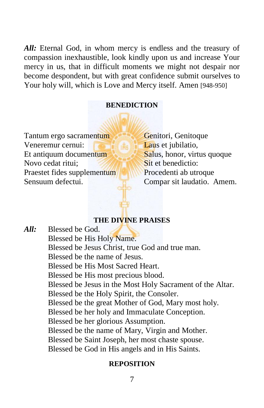*All:* Eternal God, in whom mercy is endless and the treasury of compassion inexhaustible, look kindly upon us and increase Your mercy in us, that in difficult moments we might not despair nor become despondent, but with great confidence submit ourselves to Your holy will, which is Love and Mercy itself. Amen [948-950]

#### **BENEDICTION**

Tantum ergo sacramentum Veneremur cernui: Et antiquum documentum Novo cedat ritui; Praestet fides supplementum Sensuum defectui.

Genitori, Genitoque Laus et jubilatio, Salus, honor, virtus quoque Sit et benedictio: Procedenti ab utroque Compar sit laudatio. Amem.

#### **THE DIVINE PRAISES**

*All:* Blessed be God. Blessed be His Holy Name. Blessed be Jesus Christ, true God and true man. Blessed be the name of Jesus. Blessed be His Most Sacred Heart. Blessed be His most precious blood. Blessed be Jesus in the Most Holy Sacrament of the Altar. Blessed be the Holy Spirit, the Consoler. Blessed be the great Mother of God, Mary most holy. Blessed be her holy and Immaculate Conception. Blessed be her glorious Assumption. Blessed be the name of Mary, Virgin and Mother. Blessed be Saint Joseph, her most chaste spouse. Blessed be God in His angels and in His Saints.

#### **REPOSITION**